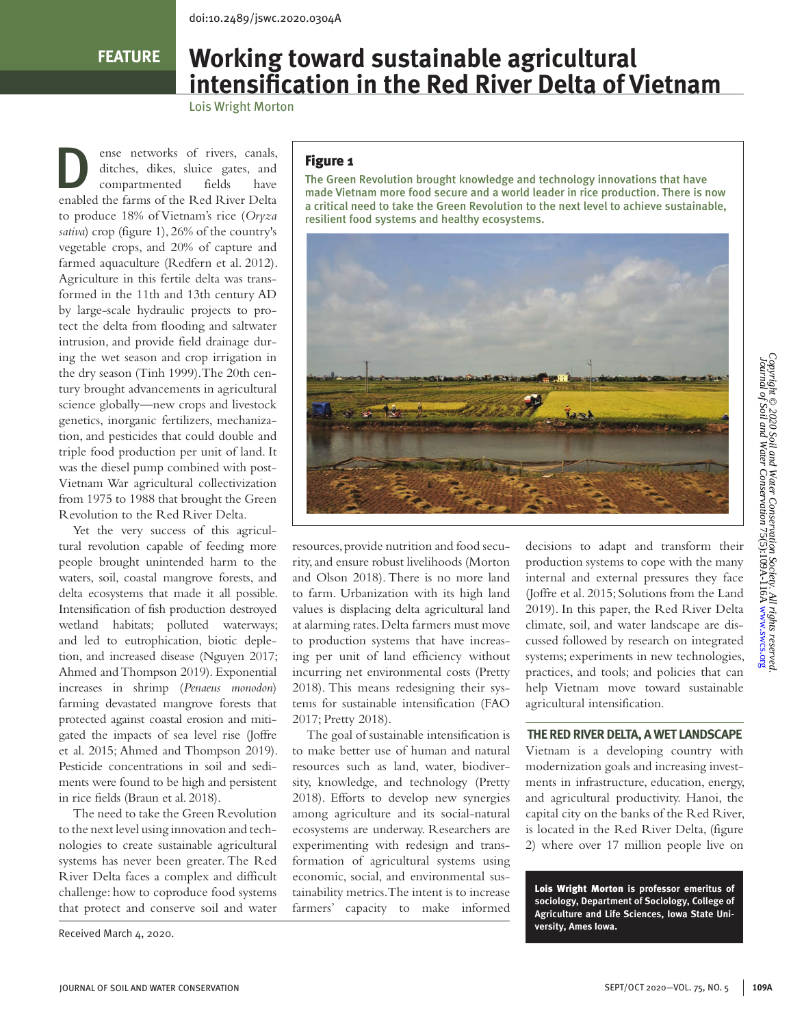**FEATURE**

# **Working toward sustainable agricultural intensification in the Red River Delta of Vietnam**

Lois Wright Morton

**Dense networks of rivers, canals, ditches, dikes, sluice gates, and compartmented** fields have ditches, dikes, sluice gates, and compartmented fields have enabled the farms of the Red River Delta to produce 18% of Vietnam's rice (*Oryza sativa*) crop (figure 1), 26% of the country's vegetable crops, and 20% of capture and farmed aquaculture (Redfern et al. 2012). Agriculture in this fertile delta was transformed in the 11th and 13th century AD by large-scale hydraulic projects to protect the delta from flooding and saltwater intrusion, and provide field drainage during the wet season and crop irrigation in the dry season (Tinh 1999). The 20th century brought advancements in agricultural science globally—new crops and livestock genetics, inorganic fertilizers, mechanization, and pesticides that could double and triple food production per unit of land. It was the diesel pump combined with post-Vietnam War agricultural collectivization from 1975 to 1988 that brought the Green Revolution to the Red River Delta.

Yet the very success of this agricultural revolution capable of feeding more people brought unintended harm to the waters, soil, coastal mangrove forests, and delta ecosystems that made it all possible. Intensification of fish production destroyed wetland habitats; polluted waterways; and led to eutrophication, biotic depletion, and increased disease (Nguyen 2017; Ahmed and Thompson 2019). Exponential increases in shrimp (*Penaeus monodon*) farming devastated mangrove forests that protected against coastal erosion and mitigated the impacts of sea level rise (Joffre et al. 2015; Ahmed and Thompson 2019). Pesticide concentrations in soil and sediments were found to be high and persistent in rice fields (Braun et al. 2018).

The need to take the Green Revolution to the next level using innovation and technologies to create sustainable agricultural systems has never been greater. The Red River Delta faces a complex and difficult challenge: how to coproduce food systems that protect and conserve soil and water

**versity, Ames Iowa.** Received March 4, 2020.

# Figure 1

The Green Revolution brought knowledge and technology innovations that have made Vietnam more food secure and a world leader in rice production. There is now a critical need to take the Green Revolution to the next level to achieve sustainable, resilient food systems and healthy ecosystems.



resources, provide nutrition and food security, and ensure robust livelihoods (Morton and Olson 2018). There is no more land to farm. Urbanization with its high land values is displacing delta agricultural land at alarming rates. Delta farmers must move to production systems that have increasing per unit of land efficiency without incurring net environmental costs (Pretty 2018). This means redesigning their systems for sustainable intensification (FAO 2017; Pretty 2018).

The goal of sustainable intensification is to make better use of human and natural resources such as land, water, biodiversity, knowledge, and technology (Pretty 2018). Efforts to develop new synergies among agriculture and its social-natural ecosystems are underway. Researchers are experimenting with redesign and transformation of agricultural systems using economic, social, and environmental sustainability metrics. The intent is to increase farmers' capacity to make informed decisions to adapt and transform their production systems to cope with the many internal and external pressures they face (Joffre et al. 2015; Solutions from the Land 2019). In this paper, the Red River Delta climate, soil, and water landscape are discussed followed by research on integrated systems; experiments in new technologies, practices, and tools; and policies that can help Vietnam move toward sustainable agricultural intensification.

## **THE RED RIVER DELTA, A WET LANDSCAPE**

Vietnam is a developing country with modernization goals and increasing investments in infrastructure, education, energy, and agricultural productivity. Hanoi, the capital city on the banks of the Red River, is located in the Red River Delta, (figure 2) where over 17 million people live on

Lois Wright Morton **is professor emeritus of sociology, Department of Sociology, College of Agriculture and Life Sciences, Iowa State Uni-**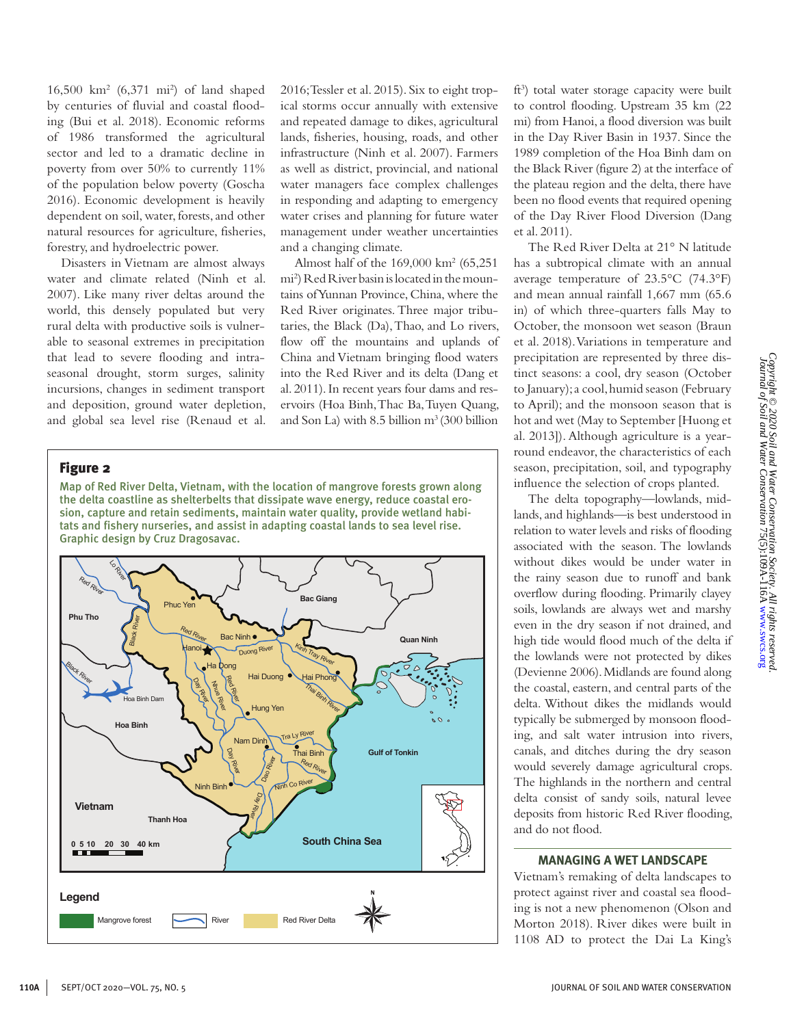16,500 km2 (6,371 mi2 ) of land shaped by centuries of fluvial and coastal flooding (Bui et al. 2018). Economic reforms of 1986 transformed the agricultural sector and led to a dramatic decline in poverty from over 50% to currently 11% of the population below poverty (Goscha 2016). Economic development is heavily dependent on soil, water, forests, and other natural resources for agriculture, fisheries, forestry, and hydroelectric power.

Disasters in Vietnam are almost always water and climate related (Ninh et al. 2007). Like many river deltas around the world, this densely populated but very rural delta with productive soils is vulnerable to seasonal extremes in precipitation that lead to severe flooding and intraseasonal drought, storm surges, salinity incursions, changes in sediment transport and deposition, ground water depletion, and global sea level rise (Renaud et al.

2016; Tessler et al. 2015). Six to eight tropical storms occur annually with extensive and repeated damage to dikes, agricultural lands, fisheries, housing, roads, and other infrastructure (Ninh et al. 2007). Farmers as well as district, provincial, and national water managers face complex challenges in responding and adapting to emergency water crises and planning for future water management under weather uncertainties and a changing climate.

Almost half of the 169,000 km2 (65,251 mi2 ) Red River basin is located in the mountains of Yunnan Province, China, where the Red River originates. Three major tributaries, the Black (Da), Thao, and Lo rivers, flow off the mountains and uplands of China and Vietnam bringing flood waters into the Red River and its delta (Dang et al. 2011). In recent years four dams and reservoirs (Hoa Binh, Thac Ba, Tuyen Quang, and Son La) with  $8.5$  billion m<sup>3</sup> (300 billion

# Figure 2

Map of Red River Delta, Vietnam, with the location of mangrove forests grown along the delta coastline as shelterbelts that dissipate wave energy, reduce coastal erosion, capture and retain sediments, maintain water quality, provide wetland habitats and fishery nurseries, and assist in adapting coastal lands to sea level rise. Graphic design by Cruz Dragosavac.



ft<sup>3</sup>) total water storage capacity were built to control flooding. Upstream 35 km (22 mi) from Hanoi, a flood diversion was built in the Day River Basin in 1937. Since the 1989 completion of the Hoa Binh dam on the Black River (figure 2) at the interface of the plateau region and the delta, there have been no flood events that required opening of the Day River Flood Diversion (Dang et al. 2011).

The Red River Delta at 21° N latitude has a subtropical climate with an annual average temperature of 23.5°C (74.3°F) and mean annual rainfall 1,667 mm (65.6 in) of which three-quarters falls May to October, the monsoon wet season (Braun et al. 2018). Variations in temperature and precipitation are represented by three distinct seasons: a cool, dry season (October to January); a cool, humid season (February to April); and the monsoon season that is hot and wet (May to September [Huong et al. 2013]). Although agriculture is a yearround endeavor, the characteristics of each season, precipitation, soil, and typography influence the selection of crops planted.

The delta topography—lowlands, midlands, and highlands—is best understood in relation to water levels and risks of flooding associated with the season. The lowlands without dikes would be under water in the rainy season due to runoff and bank overflow during flooding. Primarily clayey soils, lowlands are always wet and marshy even in the dry season if not drained, and high tide would flood much of the delta if the lowlands were not protected by dikes (Devienne 2006). Midlands are found along the coastal, eastern, and central parts of the delta. Without dikes the midlands would typically be submerged by monsoon flooding, and salt water intrusion into rivers, canals, and ditches during the dry season would severely damage agricultural crops. The highlands in the northern and central delta consist of sandy soils, natural levee deposits from historic Red River flooding, and do not flood.

#### **MANAGING A WET LANDSCAPE**

Vietnam's remaking of delta landscapes to protect against river and coastal sea flooding is not a new phenomenon (Olson and Morton 2018). River dikes were built in 1108 AD to protect the Dai La King's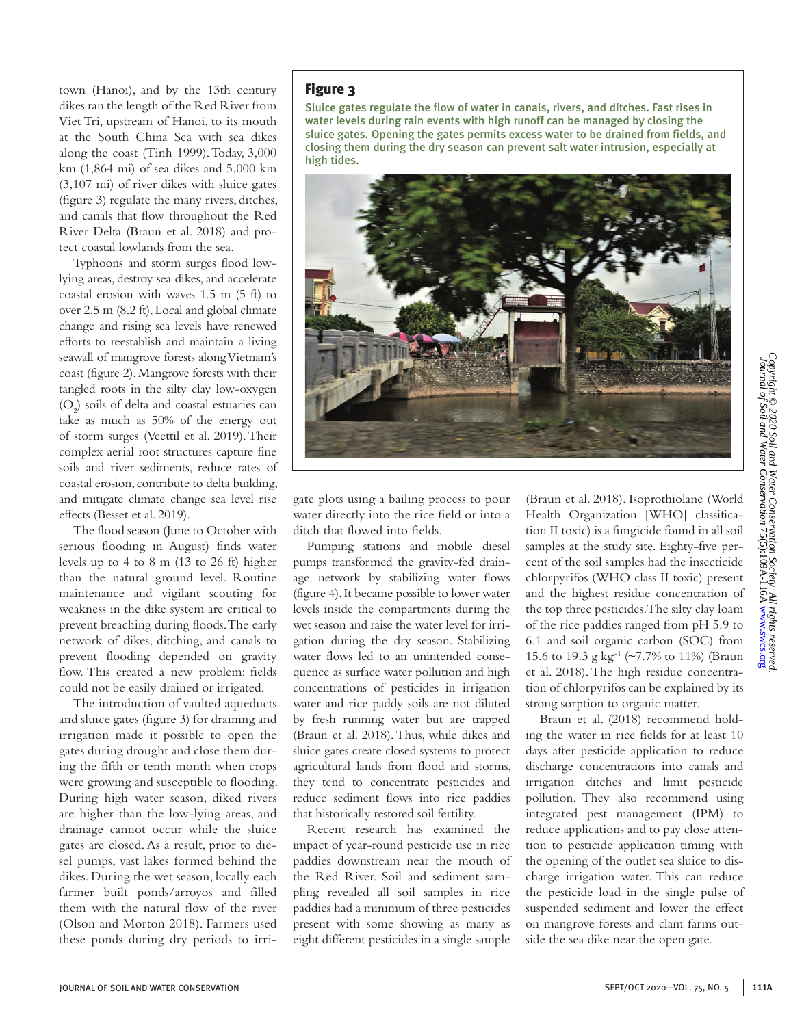town (Hanoi), and by the 13th century dikes ran the length of the Red River from Viet Tri, upstream of Hanoi, to its mouth at the South China Sea with sea dikes along the coast (Tinh 1999). Today, 3,000 km (1,864 mi) of sea dikes and 5,000 km (3,107 mi) of river dikes with sluice gates (figure 3) regulate the many rivers, ditches, and canals that flow throughout the Red River Delta (Braun et al. 2018) and protect coastal lowlands from the sea.

Typhoons and storm surges flood lowlying areas, destroy sea dikes, and accelerate coastal erosion with waves 1.5 m (5 ft) to over 2.5 m (8.2 ft). Local and global climate change and rising sea levels have renewed efforts to reestablish and maintain a living seawall of mangrove forests along Vietnam's coast (figure 2). Mangrove forests with their tangled roots in the silty clay low-oxygen (O2 ) soils of delta and coastal estuaries can take as much as 50% of the energy out of storm surges (Veettil et al. 2019). Their complex aerial root structures capture fine soils and river sediments, reduce rates of coastal erosion, contribute to delta building, and mitigate climate change sea level rise effects (Besset et al. 2019).

The flood season (June to October with serious flooding in August) finds water levels up to 4 to 8 m (13 to 26 ft) higher than the natural ground level. Routine maintenance and vigilant scouting for weakness in the dike system are critical to prevent breaching during floods. The early network of dikes, ditching, and canals to prevent flooding depended on gravity flow. This created a new problem: fields could not be easily drained or irrigated.

The introduction of vaulted aqueducts and sluice gates (figure 3) for draining and irrigation made it possible to open the gates during drought and close them during the fifth or tenth month when crops were growing and susceptible to flooding. During high water season, diked rivers are higher than the low-lying areas, and drainage cannot occur while the sluice gates are closed. As a result, prior to diesel pumps, vast lakes formed behind the dikes. During the wet season, locally each farmer built ponds/arroyos and filled them with the natural flow of the river (Olson and Morton 2018). Farmers used these ponds during dry periods to irri-

# Figure 3

Sluice gates regulate the flow of water in canals, rivers, and ditches. Fast rises in water levels during rain events with high runoff can be managed by closing the sluice gates. Opening the gates permits excess water to be drained from fields, and closing them during the dry season can prevent salt water intrusion, especially at high tides.



gate plots using a bailing process to pour water directly into the rice field or into a ditch that flowed into fields.

Pumping stations and mobile diesel pumps transformed the gravity-fed drainage network by stabilizing water flows (figure 4). It became possible to lower water levels inside the compartments during the wet season and raise the water level for irrigation during the dry season. Stabilizing water flows led to an unintended consequence as surface water pollution and high concentrations of pesticides in irrigation water and rice paddy soils are not diluted by fresh running water but are trapped (Braun et al. 2018). Thus, while dikes and sluice gates create closed systems to protect agricultural lands from flood and storms, they tend to concentrate pesticides and reduce sediment flows into rice paddies that historically restored soil fertility.

Recent research has examined the impact of year-round pesticide use in rice paddies downstream near the mouth of the Red River. Soil and sediment sampling revealed all soil samples in rice paddies had a minimum of three pesticides present with some showing as many as eight different pesticides in a single sample

(Braun et al. 2018). Isoprothiolane (World Health Organization [WHO] classification II toxic) is a fungicide found in all soil samples at the study site. Eighty-five percent of the soil samples had the insecticide chlorpyrifos (WHO class II toxic) present and the highest residue concentration of the top three pesticides. The silty clay loam of the rice paddies ranged from pH 5.9 to 6.1 and soil organic carbon (SOC) from 15.6 to 19.3 g  $kg^{-1}$  (~7.7% to 11%) (Braun et al. 2018). The high residue concentration of chlorpyrifos can be explained by its strong sorption to organic matter.

Braun et al. (2018) recommend holding the water in rice fields for at least 10 days after pesticide application to reduce discharge concentrations into canals and irrigation ditches and limit pesticide pollution. They also recommend using integrated pest management (IPM) to reduce applications and to pay close attention to pesticide application timing with the opening of the outlet sea sluice to discharge irrigation water. This can reduce the pesticide load in the single pulse of suspended sediment and lower the effect on mangrove forests and clam farms outside the sea dike near the open gate.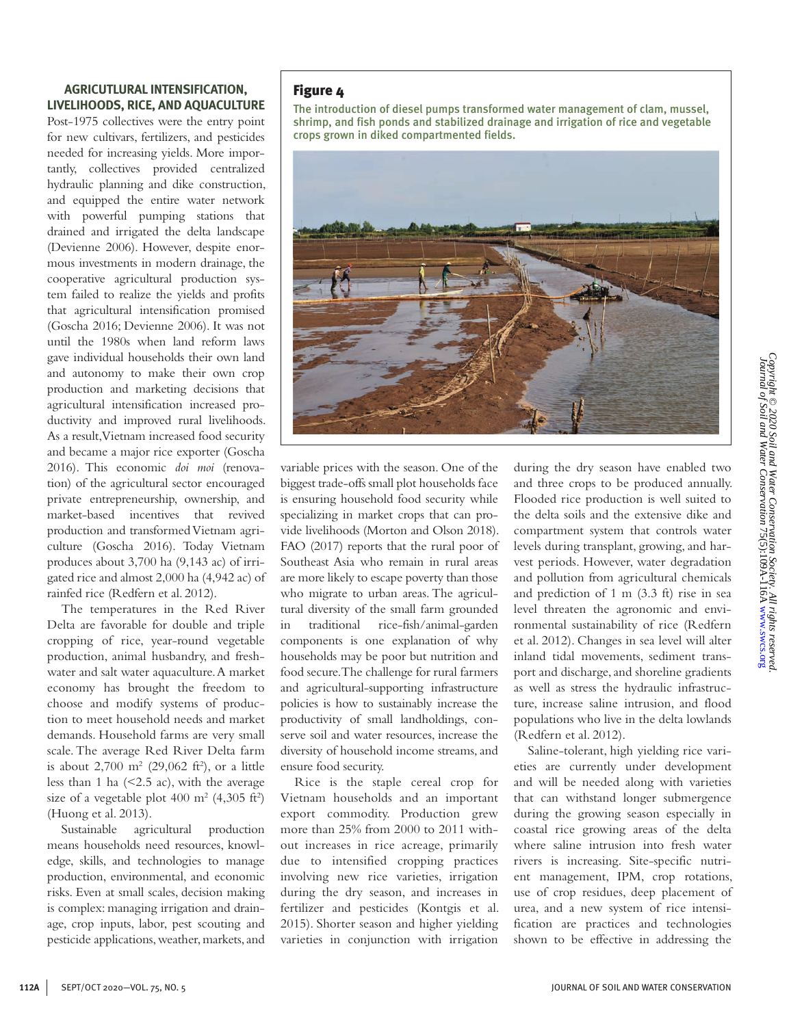Post-1975 collectives were the entry point for new cultivars, fertilizers, and pesticides needed for increasing yields. More importantly, collectives provided centralized hydraulic planning and dike construction, and equipped the entire water network with powerful pumping stations that drained and irrigated the delta landscape (Devienne 2006). However, despite enormous investments in modern drainage, the cooperative agricultural production system failed to realize the yields and profits that agricultural intensification promised (Goscha 2016; Devienne 2006). It was not until the 1980s when land reform laws gave individual households their own land and autonomy to make their own crop production and marketing decisions that agricultural intensification increased productivity and improved rural livelihoods. As a result, Vietnam increased food security and became a major rice exporter (Goscha 2016). This economic *doi moi* (renovation) of the agricultural sector encouraged private entrepreneurship, ownership, and market-based incentives that revived production and transformed Vietnam agriculture (Goscha 2016). Today Vietnam produces about 3,700 ha (9,143 ac) of irrigated rice and almost 2,000 ha (4,942 ac) of rainfed rice (Redfern et al. 2012).

The temperatures in the Red River Delta are favorable for double and triple cropping of rice, year-round vegetable production, animal husbandry, and freshwater and salt water aquaculture. A market economy has brought the freedom to choose and modify systems of production to meet household needs and market demands. Household farms are very small scale. The average Red River Delta farm is about 2,700  $m^2$  (29,062 ft<sup>2</sup>), or a little less than 1 ha (<2.5 ac), with the average size of a vegetable plot  $400 \text{ m}^2 (4,305 \text{ ft}^2)$ (Huong et al. 2013).

Sustainable agricultural production means households need resources, knowledge, skills, and technologies to manage production, environmental, and economic risks. Even at small scales, decision making is complex: managing irrigation and drainage, crop inputs, labor, pest scouting and pesticide applications, weather, markets, and

# Figure 4

The introduction of diesel pumps transformed water management of clam, mussel, shrimp, and fish ponds and stabilized drainage and irrigation of rice and vegetable crops grown in diked compartmented fields.



variable prices with the season. One of the biggest trade-offs small plot households face is ensuring household food security while specializing in market crops that can provide livelihoods (Morton and Olson 2018). FAO (2017) reports that the rural poor of Southeast Asia who remain in rural areas are more likely to escape poverty than those who migrate to urban areas. The agricultural diversity of the small farm grounded in traditional rice-fish/animal-garden components is one explanation of why households may be poor but nutrition and food secure. The challenge for rural farmers and agricultural-supporting infrastructure policies is how to sustainably increase the productivity of small landholdings, conserve soil and water resources, increase the diversity of household income streams, and ensure food security.

Rice is the staple cereal crop for Vietnam households and an important export commodity. Production grew more than 25% from 2000 to 2011 without increases in rice acreage, primarily due to intensified cropping practices involving new rice varieties, irrigation during the dry season, and increases in fertilizer and pesticides (Kontgis et al. 2015). Shorter season and higher yielding varieties in conjunction with irrigation during the dry season have enabled two and three crops to be produced annually. Flooded rice production is well suited to the delta soils and the extensive dike and compartment system that controls water levels during transplant, growing, and harvest periods. However, water degradation and pollution from agricultural chemicals and prediction of 1 m (3.3 ft) rise in sea level threaten the agronomic and environmental sustainability of rice (Redfern et al. 2012). Changes in sea level will alter inland tidal movements, sediment transport and discharge, and shoreline gradients as well as stress the hydraulic infrastructure, increase saline intrusion, and flood populations who live in the delta lowlands (Redfern et al. 2012).

Saline-tolerant, high yielding rice varieties are currently under development and will be needed along with varieties that can withstand longer submergence during the growing season especially in coastal rice growing areas of the delta where saline intrusion into fresh water rivers is increasing. Site-specific nutrient management, IPM, crop rotations, use of crop residues, deep placement of urea, and a new system of rice intensification are practices and technologies shown to be effective in addressing the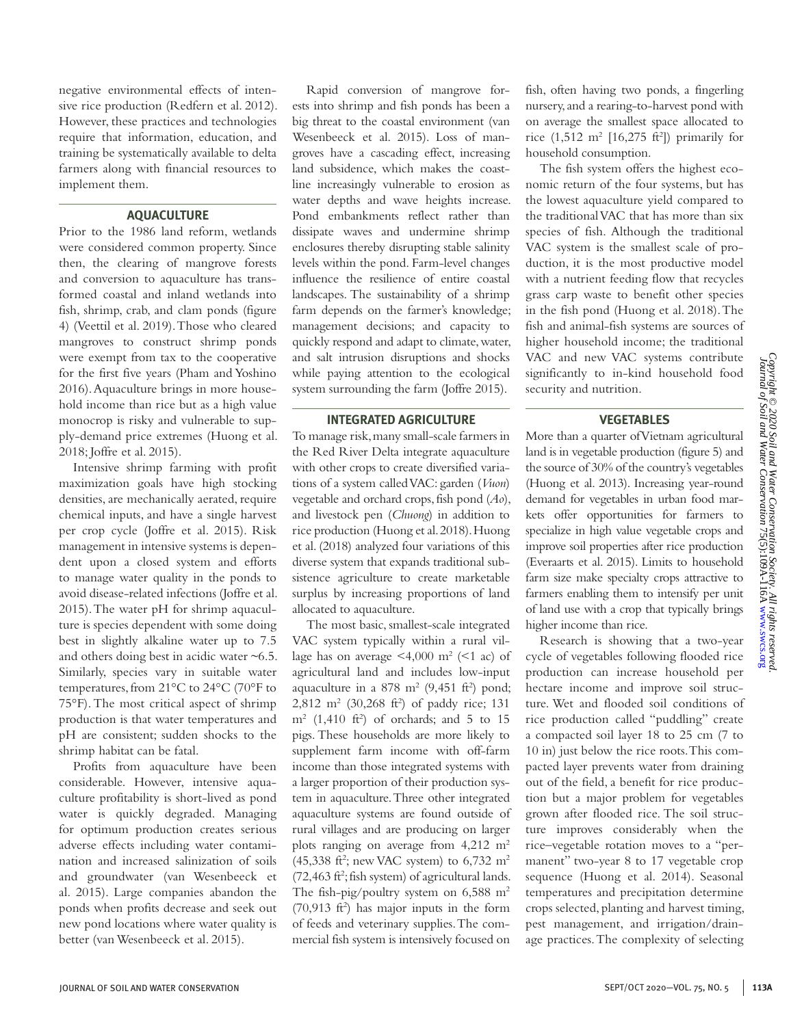negative environmental effects of intensive rice production (Redfern et al. 2012). However, these practices and technologies require that information, education, and training be systematically available to delta farmers along with financial resources to implement them.

#### **AQUACULTURE**

Prior to the 1986 land reform, wetlands were considered common property. Since then, the clearing of mangrove forests and conversion to aquaculture has transformed coastal and inland wetlands into fish, shrimp, crab, and clam ponds (figure 4) (Veettil et al. 2019). Those who cleared mangroves to construct shrimp ponds were exempt from tax to the cooperative for the first five years (Pham and Yoshino 2016). Aquaculture brings in more household income than rice but as a high value monocrop is risky and vulnerable to supply-demand price extremes (Huong et al. 2018; Joffre et al. 2015).

Intensive shrimp farming with profit maximization goals have high stocking densities, are mechanically aerated, require chemical inputs, and have a single harvest per crop cycle (Joffre et al. 2015). Risk management in intensive systems is dependent upon a closed system and efforts to manage water quality in the ponds to avoid disease-related infections (Joffre et al. 2015). The water pH for shrimp aquaculture is species dependent with some doing best in slightly alkaline water up to 7.5 and others doing best in acidic water ~6.5. Similarly, species vary in suitable water temperatures, from 21°C to 24°C (70°F to 75°F). The most critical aspect of shrimp production is that water temperatures and pH are consistent; sudden shocks to the shrimp habitat can be fatal.

Profits from aquaculture have been considerable. However, intensive aquaculture profitability is short-lived as pond water is quickly degraded. Managing for optimum production creates serious adverse effects including water contamination and increased salinization of soils and groundwater (van Wesenbeeck et al. 2015). Large companies abandon the ponds when profits decrease and seek out new pond locations where water quality is better (van Wesenbeeck et al. 2015).

Rapid conversion of mangrove forests into shrimp and fish ponds has been a big threat to the coastal environment (van Wesenbeeck et al. 2015). Loss of mangroves have a cascading effect, increasing land subsidence, which makes the coastline increasingly vulnerable to erosion as water depths and wave heights increase. Pond embankments reflect rather than dissipate waves and undermine shrimp enclosures thereby disrupting stable salinity levels within the pond. Farm-level changes influence the resilience of entire coastal landscapes. The sustainability of a shrimp farm depends on the farmer's knowledge; management decisions; and capacity to quickly respond and adapt to climate, water, and salt intrusion disruptions and shocks while paying attention to the ecological system surrounding the farm (Joffre 2015).

## **INTEGRATED AGRICULTURE**

To manage risk, many small-scale farmers in the Red River Delta integrate aquaculture with other crops to create diversified variations of a system called VAC: garden (*Vuon*) vegetable and orchard crops, fish pond (*Ao*), and livestock pen (*Chuong*) in addition to rice production (Huong et al. 2018). Huong et al. (2018) analyzed four variations of this diverse system that expands traditional subsistence agriculture to create marketable surplus by increasing proportions of land allocated to aquaculture.

The most basic, smallest-scale integrated VAC system typically within a rural village has on average  $\leq 4,000$  m<sup>2</sup> ( $\leq 1$  ac) of agricultural land and includes low-input aquaculture in a  $878 \text{ m}^2 (9,451 \text{ ft}^2)$  pond; 2,812 m<sup>2</sup> (30,268 ft<sup>2</sup>) of paddy rice; 131  $m<sup>2</sup>$  (1,410 ft<sup>2</sup>) of orchards; and 5 to 15 pigs. These households are more likely to supplement farm income with off-farm income than those integrated systems with a larger proportion of their production system in aquaculture. Three other integrated aquaculture systems are found outside of rural villages and are producing on larger plots ranging on average from  $4,212 \text{ m}^2$  $(45,338 \text{ ft}^2; \text{ new VAC system})$  to 6,732 m<sup>2</sup>  $(72, 463 \text{ ft}^2; \text{fish system})$  of agricultural lands. The fish-pig/poultry system on  $6,588$  m<sup>2</sup>  $(70,913 \text{ ft}^2)$  has major inputs in the form of feeds and veterinary supplies. The commercial fish system is intensively focused on

fish, often having two ponds, a fingerling nursery, and a rearing-to-harvest pond with on average the smallest space allocated to rice  $(1,512 \text{ m}^2 \mid 16,275 \text{ ft}^2)$  primarily for household consumption.

The fish system offers the highest economic return of the four systems, but has the lowest aquaculture yield compared to the traditional VAC that has more than six species of fish. Although the traditional VAC system is the smallest scale of production, it is the most productive model with a nutrient feeding flow that recycles grass carp waste to benefit other species in the fish pond (Huong et al. 2018). The fish and animal-fish systems are sources of higher household income; the traditional VAC and new VAC systems contribute significantly to in-kind household food security and nutrition.

#### **VEGETABLES**

More than a quarter of Vietnam agricultural land is in vegetable production (figure 5) and the source of 30% of the country's vegetables (Huong et al. 2013). Increasing year-round demand for vegetables in urban food markets offer opportunities for farmers to specialize in high value vegetable crops and improve soil properties after rice production (Everaarts et al. 2015). Limits to household farm size make specialty crops attractive to farmers enabling them to intensify per unit of land use with a crop that typically brings higher income than rice.

Research is showing that a two-year cycle of vegetables following flooded rice production can increase household per hectare income and improve soil structure. Wet and flooded soil conditions of rice production called "puddling" create a compacted soil layer 18 to 25 cm (7 to 10 in) just below the rice roots. This compacted layer prevents water from draining out of the field, a benefit for rice production but a major problem for vegetables grown after flooded rice. The soil structure improves considerably when the rice–vegetable rotation moves to a "permanent" two-year 8 to 17 vegetable crop sequence (Huong et al. 2014). Seasonal temperatures and precipitation determine crops selected, planting and harvest timing, pest management, and irrigation/drainage practices. The complexity of selecting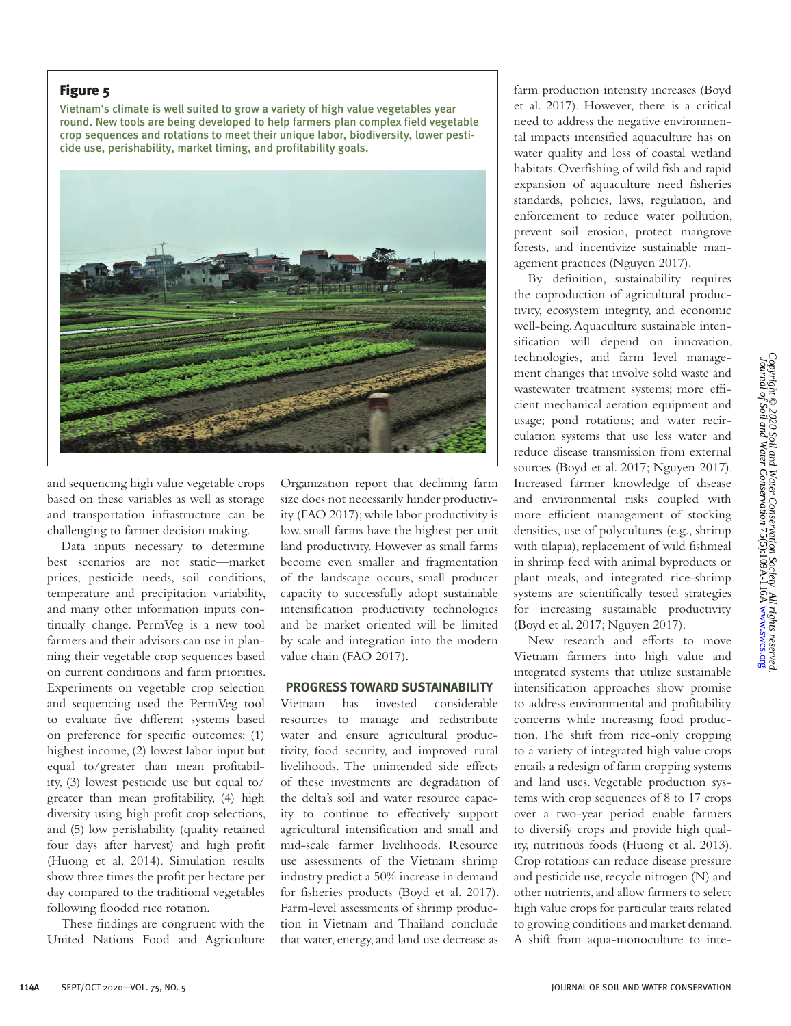# Figure 5

Vietnam's climate is well suited to grow a variety of high value vegetables year round. New tools are being developed to help farmers plan complex field vegetable crop sequences and rotations to meet their unique labor, biodiversity, lower pesticide use, perishability, market timing, and profitability goals.



and sequencing high value vegetable crops based on these variables as well as storage and transportation infrastructure can be challenging to farmer decision making.

Data inputs necessary to determine best scenarios are not static—market prices, pesticide needs, soil conditions, temperature and precipitation variability, and many other information inputs continually change. PermVeg is a new tool farmers and their advisors can use in planning their vegetable crop sequences based on current conditions and farm priorities. Experiments on vegetable crop selection and sequencing used the PermVeg tool to evaluate five different systems based on preference for specific outcomes: (1) highest income, (2) lowest labor input but equal to/greater than mean profitability, (3) lowest pesticide use but equal to/ greater than mean profitability, (4) high diversity using high profit crop selections, and (5) low perishability (quality retained four days after harvest) and high profit (Huong et al. 2014). Simulation results show three times the profit per hectare per day compared to the traditional vegetables following flooded rice rotation.

These findings are congruent with the United Nations Food and Agriculture

Organization report that declining farm size does not necessarily hinder productivity (FAO 2017); while labor productivity is low, small farms have the highest per unit land productivity. However as small farms become even smaller and fragmentation of the landscape occurs, small producer capacity to successfully adopt sustainable intensification productivity technologies and be market oriented will be limited by scale and integration into the modern value chain (FAO 2017).

# **PROGRESS TOWARD SUSTAINABILITY**

Vietnam has invested considerable resources to manage and redistribute water and ensure agricultural productivity, food security, and improved rural livelihoods. The unintended side effects of these investments are degradation of the delta's soil and water resource capacity to continue to effectively support agricultural intensification and small and mid-scale farmer livelihoods. Resource use assessments of the Vietnam shrimp industry predict a 50% increase in demand for fisheries products (Boyd et al. 2017). Farm-level assessments of shrimp production in Vietnam and Thailand conclude that water, energy, and land use decrease as

farm production intensity increases (Boyd et al. 2017). However, there is a critical need to address the negative environmental impacts intensified aquaculture has on water quality and loss of coastal wetland habitats. Overfishing of wild fish and rapid expansion of aquaculture need fisheries standards, policies, laws, regulation, and enforcement to reduce water pollution, prevent soil erosion, protect mangrove forests, and incentivize sustainable management practices (Nguyen 2017).

By definition, sustainability requires the coproduction of agricultural productivity, ecosystem integrity, and economic well-being. Aquaculture sustainable intensification will depend on innovation, technologies, and farm level management changes that involve solid waste and wastewater treatment systems; more efficient mechanical aeration equipment and usage; pond rotations; and water recirculation systems that use less water and reduce disease transmission from external sources (Boyd et al. 2017; Nguyen 2017). Increased farmer knowledge of disease and environmental risks coupled with more efficient management of stocking densities, use of polycultures (e.g., shrimp with tilapia), replacement of wild fishmeal in shrimp feed with animal byproducts or plant meals, and integrated rice-shrimp systems are scientifically tested strategies for increasing sustainable productivity (Boyd et al. 2017; Nguyen 2017).

New research and efforts to move Vietnam farmers into high value and integrated systems that utilize sustainable intensification approaches show promise to address environmental and profitability concerns while increasing food production. The shift from rice-only cropping to a variety of integrated high value crops entails a redesign of farm cropping systems and land uses. Vegetable production systems with crop sequences of 8 to 17 crops over a two-year period enable farmers to diversify crops and provide high quality, nutritious foods (Huong et al. 2013). Crop rotations can reduce disease pressure and pesticide use, recycle nitrogen (N) and other nutrients, and allow farmers to select high value crops for particular traits related to growing conditions and market demand. A shift from aqua-monoculture to inte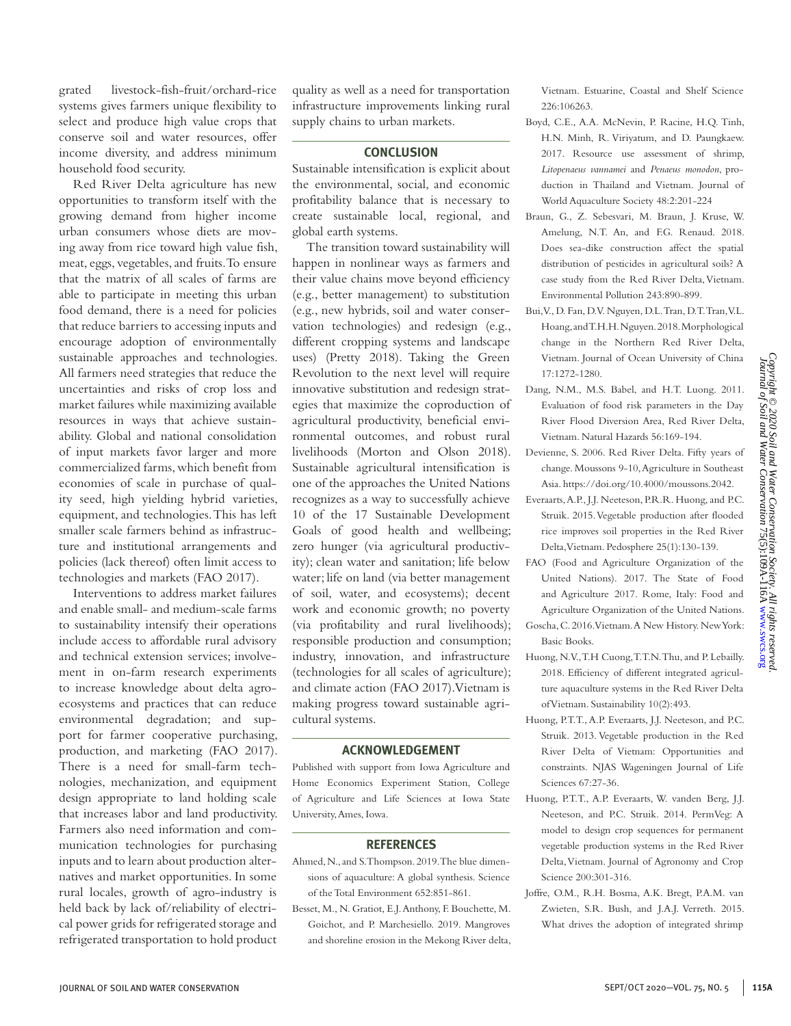grated livestock-fish-fruit/orchard-rice systems gives farmers unique flexibility to select and produce high value crops that conserve soil and water resources, offer income diversity, and address minimum household food security.

Red River Delta agriculture has new opportunities to transform itself with the growing demand from higher income urban consumers whose diets are moving away from rice toward high value fish, meat, eggs, vegetables, and fruits. To ensure that the matrix of all scales of farms are able to participate in meeting this urban food demand, there is a need for policies that reduce barriers to accessing inputs and encourage adoption of environmentally sustainable approaches and technologies. All farmers need strategies that reduce the uncertainties and risks of crop loss and market failures while maximizing available resources in ways that achieve sustainability. Global and national consolidation of input markets favor larger and more commercialized farms, which benefit from economies of scale in purchase of quality seed, high yielding hybrid varieties, equipment, and technologies. This has left smaller scale farmers behind as infrastructure and institutional arrangements and policies (lack thereof) often limit access to technologies and markets (FAO 2017).

Interventions to address market failures and enable small- and medium-scale farms to sustainability intensify their operations include access to affordable rural advisory and technical extension services; involvement in on-farm research experiments to increase knowledge about delta agroecosystems and practices that can reduce environmental degradation; and support for farmer cooperative purchasing, production, and marketing (FAO 2017). There is a need for small-farm technologies, mechanization, and equipment design appropriate to land holding scale that increases labor and land productivity. Farmers also need information and communication technologies for purchasing inputs and to learn about production alternatives and market opportunities. In some rural locales, growth of agro-industry is held back by lack of/reliability of electrical power grids for refrigerated storage and refrigerated transportation to hold product

quality as well as a need for transportation infrastructure improvements linking rural supply chains to urban markets.

## **CONCLUSION**

Sustainable intensification is explicit about the environmental, social, and economic profitability balance that is necessary to create sustainable local, regional, and global earth systems.

The transition toward sustainability will happen in nonlinear ways as farmers and their value chains move beyond efficiency (e.g., better management) to substitution (e.g., new hybrids, soil and water conservation technologies) and redesign (e.g., different cropping systems and landscape uses) (Pretty 2018). Taking the Green Revolution to the next level will require innovative substitution and redesign strategies that maximize the coproduction of agricultural productivity, beneficial environmental outcomes, and robust rural livelihoods (Morton and Olson 2018). Sustainable agricultural intensification is one of the approaches the United Nations recognizes as a way to successfully achieve 10 of the 17 Sustainable Development Goals of good health and wellbeing; zero hunger (via agricultural productivity); clean water and sanitation; life below water; life on land (via better management of soil, water, and ecosystems); decent work and economic growth; no poverty (via profitability and rural livelihoods); responsible production and consumption; industry, innovation, and infrastructure (technologies for all scales of agriculture); and climate action (FAO 2017). Vietnam is making progress toward sustainable agricultural systems.

### **ACKNOWLEDGEMENT**

Published with support from Iowa Agriculture and Home Economics Experiment Station, College of Agriculture and Life Sciences at Iowa State University, Ames, Iowa.

### **REFERENCES**

- Ahmed, N., and S. Thompson. 2019. The blue dimensions of aquaculture: A global synthesis. Science of the Total Environment 652:851-861.
- Besset, M., N. Gratiot, E.J. Anthony, F. Bouchette, M. Goichot, and P. Marchesiello. 2019. Mangroves and shoreline erosion in the Mekong River delta,

Vietnam. Estuarine, Coastal and Shelf Science 226:106263.

- Boyd, C.E., A.A. McNevin, P. Racine, H.Q. Tinh, H.N. Minh, R. Viriyatum, and D. Paungkaew. 2017. Resource use assessment of shrimp, *Litopenaeus vannamei* and *Penaeus monodon*, production in Thailand and Vietnam. Journal of World Aquaculture Society 48:2:201-224
- Braun, G., Z. Sebesvari, M. Braun, J. Kruse, W. Amelung, N.T. An, and F.G. Renaud. 2018. Does sea-dike construction affect the spatial distribution of pesticides in agricultural soils? A case study from the Red River Delta, Vietnam. Environmental Pollution 243:890-899.
- Bui, V., D. Fan, D.V. Nguyen, D.L. Tran, D.T. Tran, V.L. Hoang, and T.H.H. Nguyen. 2018. Morphological change in the Northern Red River Delta, Vietnam. Journal of Ocean University of China 17:1272-1280.
- Dang, N.M., M.S. Babel, and H.T. Luong. 2011. Evaluation of food risk parameters in the Day River Flood Diversion Area, Red River Delta, Vietnam. Natural Hazards 56:169-194.
- Devienne, S. 2006. Red River Delta. Fifty years of change. Moussons 9-10, Agriculture in Southeast Asia. https://doi.org/10.4000/moussons.2042.
- Everaarts, A.P., J.J. Neeteson, P.R.R. Huong, and P.C. Struik. 2015. Vegetable production after flooded rice improves soil properties in the Red River Delta, Vietnam. Pedosphere 25(1):130-139.
- FAO (Food and Agriculture Organization of the United Nations). 2017. The State of Food and Agriculture 2017. Rome, Italy: Food and Agriculture Organization of the United Nations.
- Goscha, C. 2016. Vietnam. A New History. New York: Basic Books.
- Huong, N.V., T.H Cuong, T.T.N. Thu, and P. Lebailly. 2018. Efficiency of different integrated agriculture aquaculture systems in the Red River Delta of Vietnam. Sustainability 10(2):493.
- Huong, P.T.T., A.P. Everaarts, J.J. Neeteson, and P.C. Struik. 2013. Vegetable production in the Red River Delta of Vietnam: Opportunities and constraints. NJAS Wageningen Journal of Life Sciences 67:27-36.
- Huong, P.T.T., A.P. Everaarts, W. vanden Berg, J.J. Neeteson, and P.C. Struik. 2014. PermVeg: A model to design crop sequences for permanent vegetable production systems in the Red River Delta, Vietnam. Journal of Agronomy and Crop Science 200:301-316.
- Joffre, O.M., R.H. Bosma, A.K. Bregt, P.A.M. van Zwieten, S.R. Bush, and J.A.J. Verreth. 2015. What drives the adoption of integrated shrimp